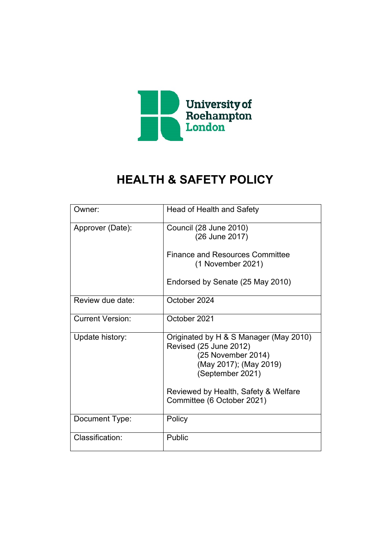

# **HEALTH & SAFETY POLICY**

| Owner:                  | Head of Health and Safety                                                                                                            |
|-------------------------|--------------------------------------------------------------------------------------------------------------------------------------|
| Approver (Date):        | Council (28 June 2010)<br>(26 June 2017)                                                                                             |
|                         | <b>Finance and Resources Committee</b><br>(1 November 2021)                                                                          |
|                         | Endorsed by Senate (25 May 2010)                                                                                                     |
| Review due date:        | October 2024                                                                                                                         |
| <b>Current Version:</b> | October 2021                                                                                                                         |
| Update history:         | Originated by H & S Manager (May 2010)<br>Revised (25 June 2012)<br>(25 November 2014)<br>(May 2017); (May 2019)<br>(September 2021) |
|                         | Reviewed by Health, Safety & Welfare<br>Committee (6 October 2021)                                                                   |
| Document Type:          | Policy                                                                                                                               |
| Classification:         | Public                                                                                                                               |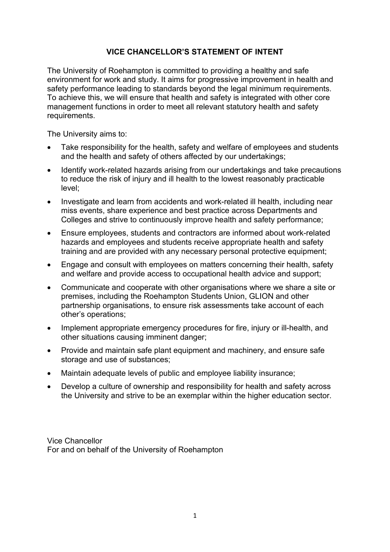# **VICE CHANCELLOR'S STATEMENT OF INTENT**

The University of Roehampton is committed to providing a healthy and safe environment for work and study. It aims for progressive improvement in health and safety performance leading to standards beyond the legal minimum requirements. To achieve this, we will ensure that health and safety is integrated with other core management functions in order to meet all relevant statutory health and safety requirements.

The University aims to:

- Take responsibility for the health, safety and welfare of employees and students and the health and safety of others affected by our undertakings;
- Identify work-related hazards arising from our undertakings and take precautions to reduce the risk of injury and ill health to the lowest reasonably practicable level;
- Investigate and learn from accidents and work-related ill health, including near miss events, share experience and best practice across Departments and Colleges and strive to continuously improve health and safety performance;
- Ensure employees, students and contractors are informed about work-related hazards and employees and students receive appropriate health and safety training and are provided with any necessary personal protective equipment;
- Engage and consult with employees on matters concerning their health, safety and welfare and provide access to occupational health advice and support;
- Communicate and cooperate with other organisations where we share a site or premises, including the Roehampton Students Union, GLION and other partnership organisations, to ensure risk assessments take account of each other's operations;
- Implement appropriate emergency procedures for fire, injury or ill-health, and other situations causing imminent danger;
- Provide and maintain safe plant equipment and machinery, and ensure safe storage and use of substances;
- Maintain adequate levels of public and employee liability insurance;
- Develop a culture of ownership and responsibility for health and safety across the University and strive to be an exemplar within the higher education sector.

Vice Chancellor For and on behalf of the University of Roehampton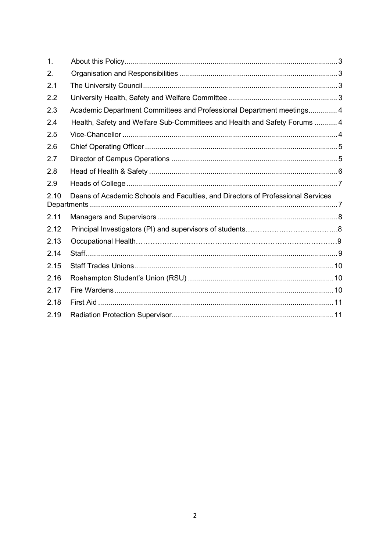| 1.   |                                                                                 |  |
|------|---------------------------------------------------------------------------------|--|
| 2.   |                                                                                 |  |
| 2.1  |                                                                                 |  |
| 2.2  |                                                                                 |  |
| 2.3  | Academic Department Committees and Professional Department meetings 4           |  |
| 2.4  | Health, Safety and Welfare Sub-Committees and Health and Safety Forums  4       |  |
| 2.5  |                                                                                 |  |
| 2.6  |                                                                                 |  |
| 2.7  |                                                                                 |  |
| 2.8  |                                                                                 |  |
| 2.9  |                                                                                 |  |
| 2.10 | Deans of Academic Schools and Faculties, and Directors of Professional Services |  |
| 2.11 |                                                                                 |  |
| 2.12 |                                                                                 |  |
| 2.13 |                                                                                 |  |
| 2.14 |                                                                                 |  |
| 2.15 |                                                                                 |  |
| 2.16 |                                                                                 |  |
| 2.17 |                                                                                 |  |
| 2.18 |                                                                                 |  |
| 2.19 |                                                                                 |  |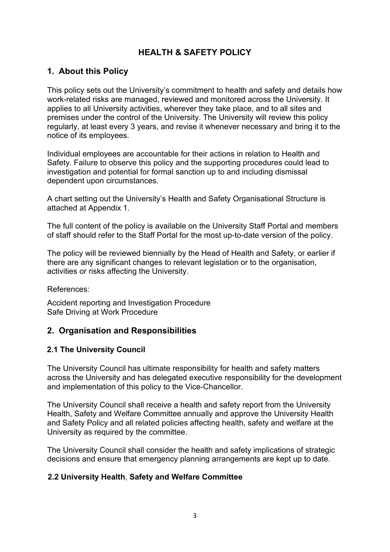# **HEALTH & SAFETY POLICY**

# <span id="page-3-0"></span>**1. About this Policy**

This policy sets out the University's commitment to health and safety and details how work-related risks are managed, reviewed and monitored across the University. It applies to all University activities, wherever they take place, and to all sites and premises under the control of the University. The University will review this policy regularly, at least every 3 years, and revise it whenever necessary and bring it to the notice of its employees.

Individual employees are accountable for their actions in relation to Health and Safety. Failure to observe this policy and the supporting procedures could lead to investigation and potential for formal sanction up to and including dismissal dependent upon circumstances.

A chart setting out the University's Health and Safety Organisational Structure is attached at Appendix 1.

The full content of the policy is available on the University Staff Portal and members of staff should refer to the Staff Portal for the most up-to-date version of the policy.

The policy will be reviewed biennially by the Head of Health and Safety, or earlier if there are any significant changes to relevant legislation or to the organisation, activities or risks affecting the University.

References:

Accident reporting and Investigation Procedure Safe Driving at Work Procedure

#### <span id="page-3-1"></span>**2. Organisation and Responsibilities**

#### <span id="page-3-2"></span> **2.1 The University Council**

The University Council has ultimate responsibility for health and safety matters across the University and has delegated executive responsibility for the development and implementation of this policy to the Vice-Chancellor.

The University Council shall receive a health and safety report from the University Health, Safety and Welfare Committee annually and approve the University Health and Safety Policy and all related policies affecting health, safety and welfare at the University as required by the committee.

The University Council shall consider the health and safety implications of strategic decisions and ensure that emergency planning arrangements are kept up to date.

#### <span id="page-3-3"></span> **2.2 University Health**, **Safety and Welfare Committee**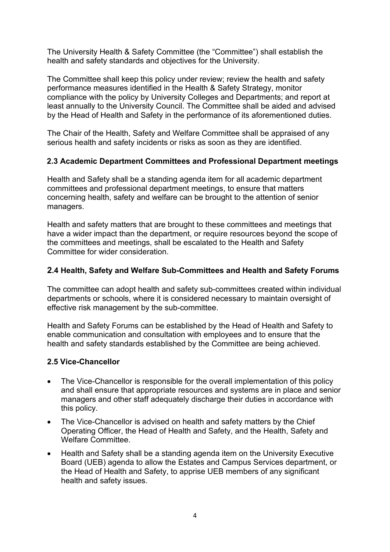The University Health & Safety Committee (the "Committee") shall establish the health and safety standards and objectives for the University.

The Committee shall keep this policy under review; review the health and safety performance measures identified in the Health & Safety Strategy, monitor compliance with the policy by University Colleges and Departments; and report at least annually to the University Council. The Committee shall be aided and advised by the Head of Health and Safety in the performance of its aforementioned duties.

The Chair of the Health, Safety and Welfare Committee shall be appraised of any serious health and safety incidents or risks as soon as they are identified.

#### <span id="page-4-0"></span> **2.3 Academic Department Committees and Professional Department meetings**

Health and Safety shall be a standing agenda item for all academic department committees and professional department meetings, to ensure that matters concerning health, safety and welfare can be brought to the attention of senior managers.

Health and safety matters that are brought to these committees and meetings that have a wider impact than the department, or require resources beyond the scope of the committees and meetings, shall be escalated to the Health and Safety Committee for wider consideration.

#### <span id="page-4-1"></span>**2.4 Health, Safety and Welfare Sub-Committees and Health and Safety Forums**

The committee can adopt health and safety sub-committees created within individual departments or schools, where it is considered necessary to maintain oversight of effective risk management by the sub-committee.

Health and Safety Forums can be established by the Head of Health and Safety to enable communication and consultation with employees and to ensure that the health and safety standards established by the Committee are being achieved.

#### <span id="page-4-2"></span>**2.5 Vice-Chancellor**

- The Vice-Chancellor is responsible for the overall implementation of this policy and shall ensure that appropriate resources and systems are in place and senior managers and other staff adequately discharge their duties in accordance with this policy.
- The Vice-Chancellor is advised on health and safety matters by the Chief Operating Officer, the Head of Health and Safety, and the Health, Safety and Welfare Committee.
- Health and Safety shall be a standing agenda item on the University Executive Board (UEB) agenda to allow the Estates and Campus Services department, or the Head of Health and Safety, to apprise UEB members of any significant health and safety issues.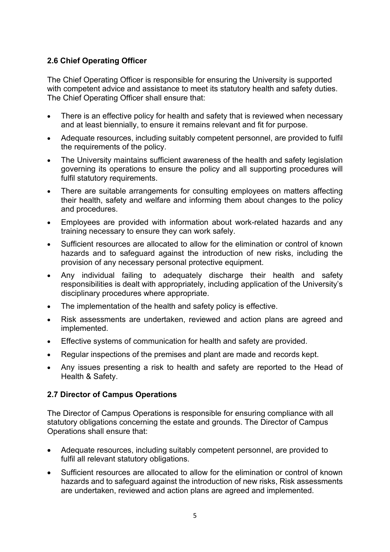# <span id="page-5-0"></span>**2.6 Chief Operating Officer**

The Chief Operating Officer is responsible for ensuring the University is supported with competent advice and assistance to meet its statutory health and safety duties. The Chief Operating Officer shall ensure that:

- There is an effective policy for health and safety that is reviewed when necessary and at least biennially, to ensure it remains relevant and fit for purpose.
- Adequate resources, including suitably competent personnel, are provided to fulfil the requirements of the policy.
- The University maintains sufficient awareness of the health and safety legislation governing its operations to ensure the policy and all supporting procedures will fulfil statutory requirements.
- There are suitable arrangements for consulting employees on matters affecting their health, safety and welfare and informing them about changes to the policy and procedures.
- Employees are provided with information about work-related hazards and any training necessary to ensure they can work safely.
- Sufficient resources are allocated to allow for the elimination or control of known hazards and to safeguard against the introduction of new risks, including the provision of any necessary personal protective equipment.
- Any individual failing to adequately discharge their health and safety responsibilities is dealt with appropriately, including application of the University's disciplinary procedures where appropriate.
- The implementation of the health and safety policy is effective.
- Risk assessments are undertaken, reviewed and action plans are agreed and implemented.
- Effective systems of communication for health and safety are provided.
- Regular inspections of the premises and plant are made and records kept.
- Any issues presenting a risk to health and safety are reported to the Head of Health & Safety.

#### <span id="page-5-1"></span>**2.7 Director of Campus Operations**

The Director of Campus Operations is responsible for ensuring compliance with all statutory obligations concerning the estate and grounds. The Director of Campus Operations shall ensure that:

- Adequate resources, including suitably competent personnel, are provided to fulfil all relevant statutory obligations.
- Sufficient resources are allocated to allow for the elimination or control of known hazards and to safeguard against the introduction of new risks, Risk assessments are undertaken, reviewed and action plans are agreed and implemented.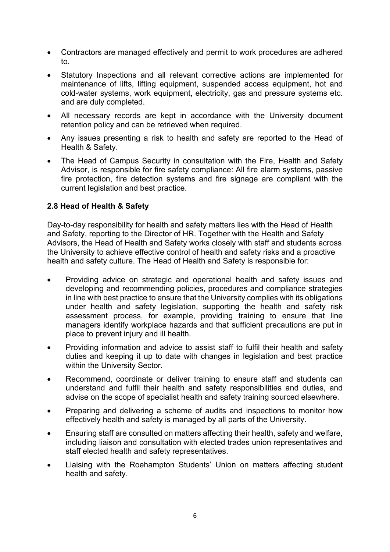- Contractors are managed effectively and permit to work procedures are adhered to.
- Statutory Inspections and all relevant corrective actions are implemented for maintenance of lifts, lifting equipment, suspended access equipment, hot and cold-water systems, work equipment, electricity, gas and pressure systems etc. and are duly completed.
- All necessary records are kept in accordance with the University document retention policy and can be retrieved when required.
- Any issues presenting a risk to health and safety are reported to the Head of Health & Safety.
- The Head of Campus Security in consultation with the Fire, Health and Safety Advisor, is responsible for fire safety compliance: All fire alarm systems, passive fire protection, fire detection systems and fire signage are compliant with the current legislation and best practice.

#### <span id="page-6-0"></span>**2.8 Head of Health & Safety**

Day-to-day responsibility for health and safety matters lies with the Head of Health and Safety, reporting to the Director of HR. Together with the Health and Safety Advisors, the Head of Health and Safety works closely with staff and students across the University to achieve effective control of health and safety risks and a proactive health and safety culture. The Head of Health and Safety is responsible for:

- Providing advice on strategic and operational health and safety issues and developing and recommending policies, procedures and compliance strategies in line with best practice to ensure that the University complies with its obligations under health and safety legislation, supporting the health and safety risk assessment process, for example, providing training to ensure that line managers identify workplace hazards and that sufficient precautions are put in place to prevent injury and ill health.
- Providing information and advice to assist staff to fulfil their health and safety duties and keeping it up to date with changes in legislation and best practice within the University Sector.
- Recommend, coordinate or deliver training to ensure staff and students can understand and fulfil their health and safety responsibilities and duties, and advise on the scope of specialist health and safety training sourced elsewhere.
- Preparing and delivering a scheme of audits and inspections to monitor how effectively health and safety is managed by all parts of the University.
- Ensuring staff are consulted on matters affecting their health, safety and welfare, including liaison and consultation with elected trades union representatives and staff elected health and safety representatives.
- Liaising with the Roehampton Students' Union on matters affecting student health and safety.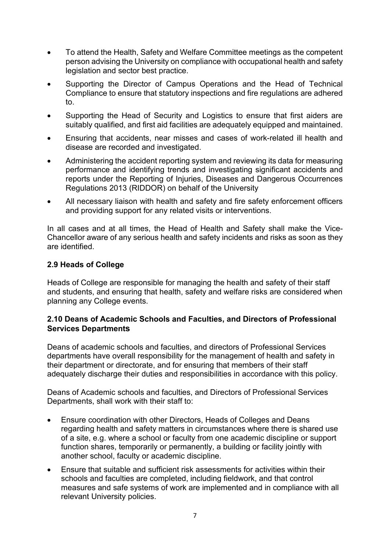- To attend the Health, Safety and Welfare Committee meetings as the competent person advising the University on compliance with occupational health and safety legislation and sector best practice.
- Supporting the Director of Campus Operations and the Head of Technical Compliance to ensure that statutory inspections and fire regulations are adhered to.
- Supporting the Head of Security and Logistics to ensure that first aiders are suitably qualified, and first aid facilities are adequately equipped and maintained.
- Ensuring that accidents, near misses and cases of work-related ill health and disease are recorded and investigated.
- Administering the accident reporting system and reviewing its data for measuring performance and identifying trends and investigating significant accidents and reports under the Reporting of Injuries, Diseases and Dangerous Occurrences Regulations 2013 (RIDDOR) on behalf of the University
- All necessary liaison with health and safety and fire safety enforcement officers and providing support for any related visits or interventions.

In all cases and at all times, the Head of Health and Safety shall make the Vice-Chancellor aware of any serious health and safety incidents and risks as soon as they are identified.

#### <span id="page-7-0"></span>**2.9 Heads of College**

Heads of College are responsible for managing the health and safety of their staff and students, and ensuring that health, safety and welfare risks are considered when planning any College events.

#### <span id="page-7-1"></span>**2.10 Deans of Academic Schools and Faculties, and Directors of Professional Services Departments**

Deans of academic schools and faculties, and directors of Professional Services departments have overall responsibility for the management of health and safety in their department or directorate, and for ensuring that members of their staff adequately discharge their duties and responsibilities in accordance with this policy.

Deans of Academic schools and faculties, and Directors of Professional Services Departments, shall work with their staff to:

- Ensure coordination with other Directors, Heads of Colleges and Deans regarding health and safety matters in circumstances where there is shared use of a site, e.g. where a school or faculty from one academic discipline or support function shares, temporarily or permanently, a building or facility jointly with another school, faculty or academic discipline.
- Ensure that suitable and sufficient risk assessments for activities within their schools and faculties are completed, including fieldwork, and that control measures and safe systems of work are implemented and in compliance with all relevant University policies.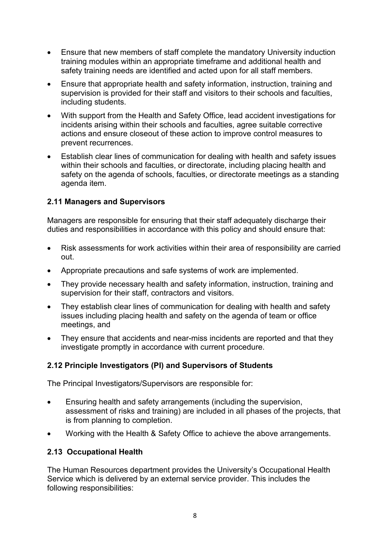- Ensure that new members of staff complete the mandatory University induction training modules within an appropriate timeframe and additional health and safety training needs are identified and acted upon for all staff members.
- Ensure that appropriate health and safety information, instruction, training and supervision is provided for their staff and visitors to their schools and faculties, including students.
- With support from the Health and Safety Office, lead accident investigations for incidents arising within their schools and faculties, agree suitable corrective actions and ensure closeout of these action to improve control measures to prevent recurrences.
- Establish clear lines of communication for dealing with health and safety issues within their schools and faculties, or directorate, including placing health and safety on the agenda of schools, faculties, or directorate meetings as a standing agenda item.

#### <span id="page-8-0"></span>**2.11 Managers and Supervisors**

Managers are responsible for ensuring that their staff adequately discharge their duties and responsibilities in accordance with this policy and should ensure that:

- Risk assessments for work activities within their area of responsibility are carried out.
- Appropriate precautions and safe systems of work are implemented.
- They provide necessary health and safety information, instruction, training and supervision for their staff, contractors and visitors.
- They establish clear lines of communication for dealing with health and safety issues including placing health and safety on the agenda of team or office meetings, and
- They ensure that accidents and near-miss incidents are reported and that they investigate promptly in accordance with current procedure.

#### **2.12 Principle Investigators (PI) and Supervisors of Students**

The Principal Investigators/Supervisors are responsible for:

- Ensuring health and safety arrangements (including the supervision, assessment of risks and training) are included in all phases of the projects, that is from planning to completion.
- Working with the Health & Safety Office to achieve the above arrangements.

#### **2.13 Occupational Health**

The Human Resources department provides the University's Occupational Health Service which is delivered by an external service provider. This includes the following responsibilities: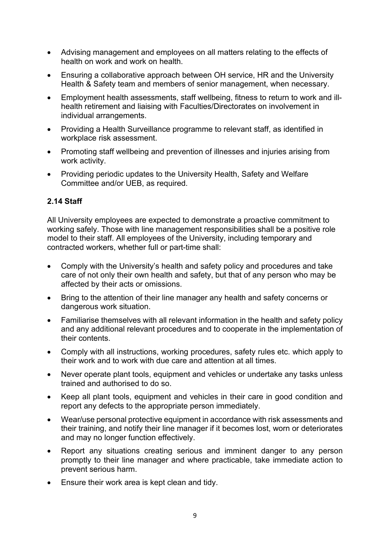- Advising management and employees on all matters relating to the effects of health on work and work on health.
- Ensuring a collaborative approach between OH service, HR and the University Health & Safety team and members of senior management, when necessary.
- Employment health assessments, staff wellbeing, fitness to return to work and illhealth retirement and liaising with Faculties/Directorates on involvement in individual arrangements.
- Providing a Health Surveillance programme to relevant staff, as identified in workplace risk assessment.
- Promoting staff wellbeing and prevention of illnesses and injuries arising from work activity.
- Providing periodic updates to the University Health, Safety and Welfare Committee and/or UEB, as required.

# <span id="page-9-0"></span>**2.14 Staff**

All University employees are expected to demonstrate a proactive commitment to working safely. Those with line management responsibilities shall be a positive role model to their staff. All employees of the University, including temporary and contracted workers, whether full or part-time shall:

- Comply with the University's health and safety policy and procedures and take care of not only their own health and safety, but that of any person who may be affected by their acts or omissions.
- Bring to the attention of their line manager any health and safety concerns or dangerous work situation.
- Familiarise themselves with all relevant information in the health and safety policy and any additional relevant procedures and to cooperate in the implementation of their contents.
- Comply with all instructions, working procedures, safety rules etc. which apply to their work and to work with due care and attention at all times.
- Never operate plant tools, equipment and vehicles or undertake any tasks unless trained and authorised to do so.
- Keep all plant tools, equipment and vehicles in their care in good condition and report any defects to the appropriate person immediately.
- Wear/use personal protective equipment in accordance with risk assessments and their training, and notify their line manager if it becomes lost, worn or deteriorates and may no longer function effectively.
- Report any situations creating serious and imminent danger to any person promptly to their line manager and where practicable, take immediate action to prevent serious harm.
- Ensure their work area is kept clean and tidy.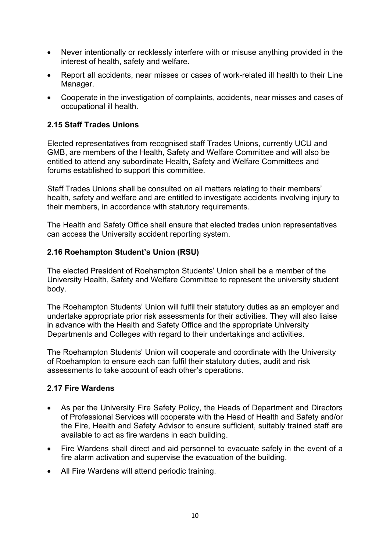- Never intentionally or recklessly interfere with or misuse anything provided in the interest of health, safety and welfare.
- Report all accidents, near misses or cases of work-related ill health to their Line Manager.
- Cooperate in the investigation of complaints, accidents, near misses and cases of occupational ill health.

#### <span id="page-10-0"></span>**2.15 Staff Trades Unions**

Elected representatives from recognised staff Trades Unions, currently UCU and GMB, are members of the Health, Safety and Welfare Committee and will also be entitled to attend any subordinate Health, Safety and Welfare Committees and forums established to support this committee.

Staff Trades Unions shall be consulted on all matters relating to their members' health, safety and welfare and are entitled to investigate accidents involving injury to their members, in accordance with statutory requirements.

The Health and Safety Office shall ensure that elected trades union representatives can access the University accident reporting system.

#### <span id="page-10-1"></span>**2.16 Roehampton Student's Union (RSU)**

The elected President of Roehampton Students' Union shall be a member of the University Health, Safety and Welfare Committee to represent the university student body.

The Roehampton Students' Union will fulfil their statutory duties as an employer and undertake appropriate prior risk assessments for their activities. They will also liaise in advance with the Health and Safety Office and the appropriate University Departments and Colleges with regard to their undertakings and activities.

The Roehampton Students' Union will cooperate and coordinate with the University of Roehampton to ensure each can fulfil their statutory duties, audit and risk assessments to take account of each other's operations.

#### <span id="page-10-2"></span>**2.17 Fire Wardens**

- As per the University Fire Safety Policy, the Heads of Department and Directors of Professional Services will cooperate with the Head of Health and Safety and/or the Fire, Health and Safety Advisor to ensure sufficient, suitably trained staff are available to act as fire wardens in each building.
- Fire Wardens shall direct and aid personnel to evacuate safely in the event of a fire alarm activation and supervise the evacuation of the building.
- All Fire Wardens will attend periodic training.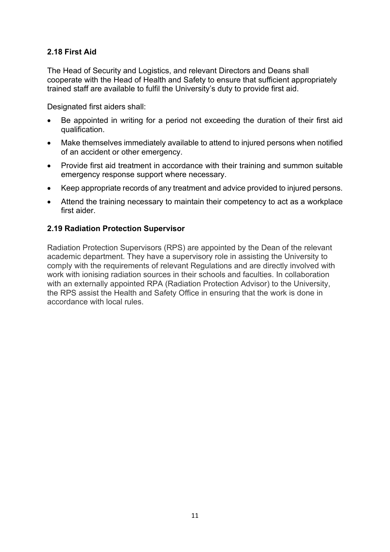# <span id="page-11-0"></span>**2.18 First Aid**

The Head of Security and Logistics, and relevant Directors and Deans shall cooperate with the Head of Health and Safety to ensure that sufficient appropriately trained staff are available to fulfil the University's duty to provide first aid.

Designated first aiders shall:

- Be appointed in writing for a period not exceeding the duration of their first aid qualification.
- Make themselves immediately available to attend to injured persons when notified of an accident or other emergency.
- Provide first aid treatment in accordance with their training and summon suitable emergency response support where necessary.
- Keep appropriate records of any treatment and advice provided to injured persons.
- Attend the training necessary to maintain their competency to act as a workplace first aider.

#### <span id="page-11-1"></span>**2.19 Radiation Protection Supervisor**

Radiation Protection Supervisors (RPS) are appointed by the Dean of the relevant academic department. They have a supervisory role in assisting the University to comply with the requirements of relevant Regulations and are directly involved with work with ionising radiation sources in their schools and faculties. In collaboration with an externally appointed RPA (Radiation Protection Advisor) to the University, the RPS assist the Health and Safety Office in ensuring that the work is done in accordance with local rules.